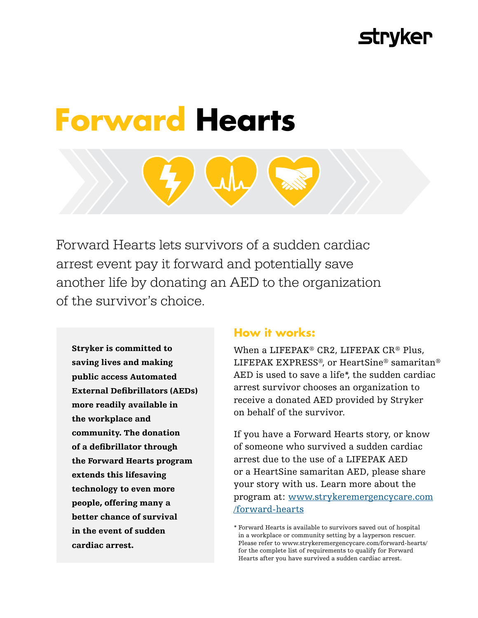# **Stryker**

# **Forward Hearts**

Forward Hearts lets survivors of a sudden cardiac arrest event pay it forward and potentially save another life by donating an AED to the organization of the survivor's choice.

Stryker is committed to saving lives and making public access Automated External Defibrillators (AEDs) more readily available in the workplace and community. The donation of a defibrillator through the Forward Hearts program extends this lifesaving technology to even more people, offering many a better chance of survival in the event of sudden cardiac arrest.

## **How it works:**

When a LIFEPAK® CR2, LIFEPAK CR® Plus, LIFEPAK EXPRESS®, or HeartSine® samaritan® AED is used to save a life\*, the sudden cardiac arrest survivor chooses an organization to receive a donated AED provided by Stryker on behalf of the survivor.

If you have a Forward Hearts story, or know of someone who survived a sudden cardiac arrest due to the use of a LIFEPAK AED or a HeartSine samaritan AED, please share your story with us. Learn more about the program at: [www.strykeremergencycare.com](https://www.strykeremergencycare.com/products/workplace-and-public-safety/Forward-hearts/) [/forward-hearts](https://www.strykeremergencycare.com/products/workplace-and-public-safety/Forward-hearts/)

<sup>\*</sup> Forward Hearts is available to survivors saved out of hospital in a workplace or community setting by a layperson rescuer. Please refer to www.strykeremergencycare.com/forward-hearts/ for the complete list of requirements to qualify for Forward Hearts after you have survived a sudden cardiac arrest.